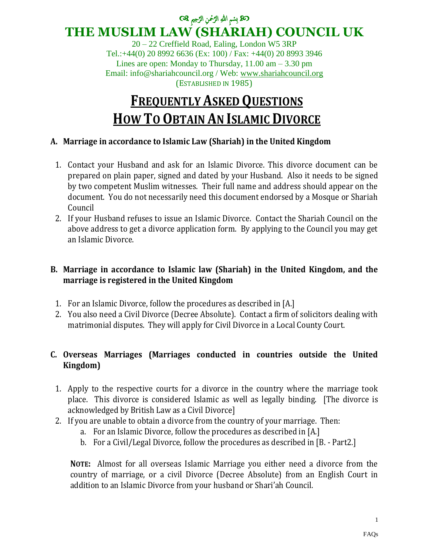#### ك<mark>كة</mark> بِسْمِ اللهِ الرَّحْمنِ الرَّحِيمِ ۞ Ĵ ِ ِ Ĵ **THE MUSLIM LAW (SHARIAH) COUNCIL UK**

20 – 22 Creffield Road, Ealing, London W5 3RP Tel.:+44(0) 20 8992 6636 (Ex: 100) / Fax: +44(0) 20 8993 3946 Lines are open: Monday to Thursday,  $11.00 \text{ am} - 3.30 \text{ pm}$ Email: info@shariahcouncil.org / Web: [www.shariahcouncil.org](http://www.shariahcouncil.org/) (ESTABLISHED IN 1985)

# **FREQUENTLY ASKED QUESTIONS HOW TO OBTAIN AN ISLAMIC DIVORCE**

# **A. Marriage in accordance to Islamic Law (Shariah) in the United Kingdom**

- 1. Contact your Husband and ask for an Islamic Divorce. This divorce document can be prepared on plain paper, signed and dated by your Husband. Also it needs to be signed by two competent Muslim witnesses. Their full name and address should appear on the document. You do not necessarily need this document endorsed by a Mosque or Shariah Council
- 2. If your Husband refuses to issue an Islamic Divorce. Contact the Shariah Council on the above address to get a divorce application form. By applying to the Council you may get an Islamic Divorce.

# **B. Marriage in accordance to Islamic law (Shariah) in the United Kingdom, and the marriage is registered in the United Kingdom**

- 1. For an Islamic Divorce, follow the procedures as described in [A.]
- 2. You also need a Civil Divorce (Decree Absolute). Contact a firm of solicitors dealing with matrimonial disputes. They will apply for Civil Divorce in a Local County Court.

# **C. Overseas Marriages (Marriages conducted in countries outside the United Kingdom)**

- 1. Apply to the respective courts for a divorce in the country where the marriage took place. This divorce is considered Islamic as well as legally binding. [The divorce is acknowledged by British Law as a Civil Divorce]
- 2. If you are unable to obtain a divorce from the country of your marriage. Then:
	- a. For an Islamic Divorce, follow the procedures as described in [A.]
	- b. For a Civil/Legal Divorce, follow the procedures as described in [B. Part2.]

**NOTE:** Almost for all overseas Islamic Marriage you either need a divorce from the country of marriage, or a civil Divorce (Decree Absolute) from an English Court in addition to an Islamic Divorce from your husband or Shari'ah Council.